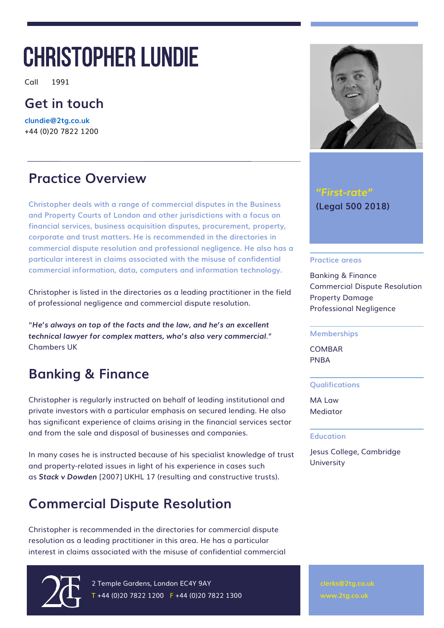# CHRISTOPHER LUNDIE

Call 1991

### **Get in touch**

**[clundie@2tg.co.uk](mailto:clundie@2tg.co.uk)**  +44 (0)20 7822 1200

#### **Practice Overview**

**Christopher deals with a range of commercial disputes in the Business and Property Courts of London and other jurisdictions with a focus on financial services, business acquisition disputes, procurement, property, corporate and trust matters. He is recommended in the directories in commercial dispute resolution and professional negligence. He also has a particular interest in claims associated with the misuse of confidential commercial information, data, computers and information technology.**

Christopher is listed in the directories as a leading practitioner in the field of professional negligence and commercial dispute resolution.

"*He's always on top of the facts and the law, and he's an excellent technical lawyer for complex matters, who's also very commercial.*" Chambers UK

### **Banking & Finance**

Christopher is regularly instructed on behalf of leading institutional and private investors with a particular emphasis on secured lending. He also has significant experience of claims arising in the financial services sector and from the sale and disposal of businesses and companies.

In many cases he is instructed because of his specialist knowledge of trust and property-related issues in light of his experience in cases such as *Stack v Dowden* [2007] UKHL 17 (resulting and constructive trusts).

### **Commercial Dispute Resolution**

Christopher is recommended in the directories for commercial dispute resolution as a leading practitioner in this area. He has a particular interest in claims associated with the misuse of confidential commercial



2 Temple Gardens, London EC4Y 9AY  $T + 44 (0)20 7822 1200$  F +44 (0)20 7822 1300



#### *"First-rate"* **(Legal 500 2018)**

#### **Practice areas**

Banking & Finance Commercial Dispute Resolution Property Damage Professional Negligence

#### **Memberships**

COMBAR PNBA

#### **Qualifications**

MA Law **Mediator** 

#### **Education**

Jesus College, Cambridge **University**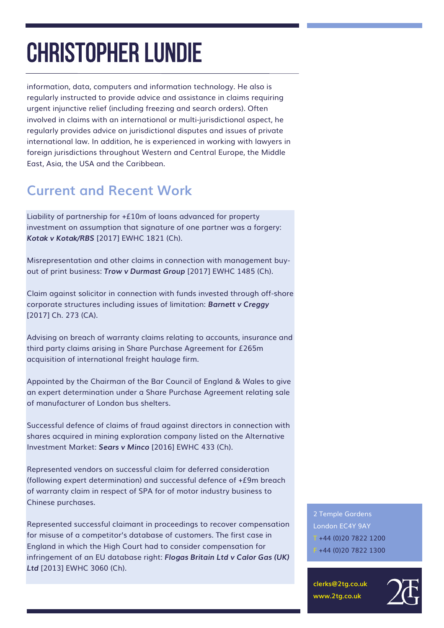information, data, computers and information technology. He also is regularly instructed to provide advice and assistance in claims requiring urgent injunctive relief (including freezing and search orders). Often involved in claims with an international or multi-jurisdictional aspect, he regularly provides advice on jurisdictional disputes and issues of private international law. In addition, he is experienced in working with lawyers in foreign jurisdictions throughout Western and Central Europe, the Middle East, Asia, the USA and the Caribbean.

### **Current and Recent Work**

Liability of partnership for +£10m of loans advanced for property investment on assumption that signature of one partner was a forgery: *Kotak v Kotak/RBS* [2017] EWHC 1821 (Ch).

Misrepresentation and other claims in connection with management buyout of print business: *Trow v Durmast Group* [2017] EWHC 1485 (Ch).

Claim against solicitor in connection with funds invested through off-shore corporate structures including issues of limitation: *Barnett v Creggy* [2017] Ch. 273 (CA).

Advising on breach of warranty claims relating to accounts, insurance and third party claims arising in Share Purchase Agreement for £265m acquisition of international freight haulage firm.

Appointed by the Chairman of the Bar Council of England & Wales to give an expert determination under a Share Purchase Agreement relating sale of manufacturer of London bus shelters.

Successful defence of claims of fraud against directors in connection with shares acquired in mining exploration company listed on the Alternative Investment Market: *Sears v Minco* [2016] EWHC 433 (Ch).

Represented vendors on successful claim for deferred consideration (following expert determination) and successful defence of +£9m breach of warranty claim in respect of SPA for of motor industry business to Chinese purchases.

Represented successful claimant in proceedings to recover compensation for misuse of a competitor's database of customers. The first case in England in which the High Court had to consider compensation for infringement of an EU database right: *Flogas Britain Ltd v Calor Gas (UK) Ltd* [2013] EWHC 3060 (Ch).

2 Temple Gardens London EC4Y 9AY  $T + 44 (0)2078221200$ F +44 (0)20 7822 1300

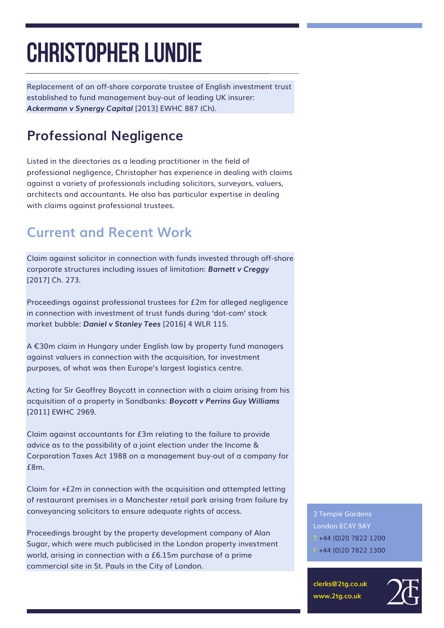Replacement of an off-shore corporate trustee of English investment trust established to fund management buy-out of leading UK insurer: *Ackermann v Synergy Capital* [2013] EWHC 887 (Ch).

### **Professional Negligence**

Listed in the directories as a leading practitioner in the field of professional negligence, Christopher has experience in dealing with claims against a variety of professionals including solicitors, surveyors, valuers, architects and accountants. He also has particular expertise in dealing with claims against professional trustees.

## **Current and Recent Work**

Claim against solicitor in connection with funds invested through off-shore corporate structures including issues of limitation: *Barnett v Creggy* [2017] Ch. 273.

Proceedings against professional trustees for £2m for alleged negligence in connection with investment of trust funds during 'dot-com' stock market bubble: *Daniel v Stanley Tees* [2016] 4 WLR 115.

A €30m claim in Hungary under English law by property fund managers against valuers in connection with the acquisition, for investment purposes, of what was then Europe's largest logistics centre.

Acting for Sir Geoffrey Boycott in connection with a claim arising from his acquisition of a property in Sandbanks: *Boycott v Perrins Guy Williams* [2011] EWHC 2969.

Claim against accountants for £3m relating to the failure to provide advice as to the possibility of a joint election under the Income & Corporation Taxes Act 1988 on a management buy-out of a company for £8m.

Claim for  $+£2m$  in connection with the acquisition and attempted letting of restaurant premises in a Manchester retail park arising from failure by conveyancing solicitors to ensure adequate rights of access.

Proceedings brought by the property development company of Alan Sugar, which were much publicised in the London property investment world, arising in connection with a £6.15m purchase of a prime commercial site in St. Pauls in the City of London.

2 Temple Gardens London EC4Y 9AY  $T + 44 (0)2078221200$ F +44 (0)20 7822 1300

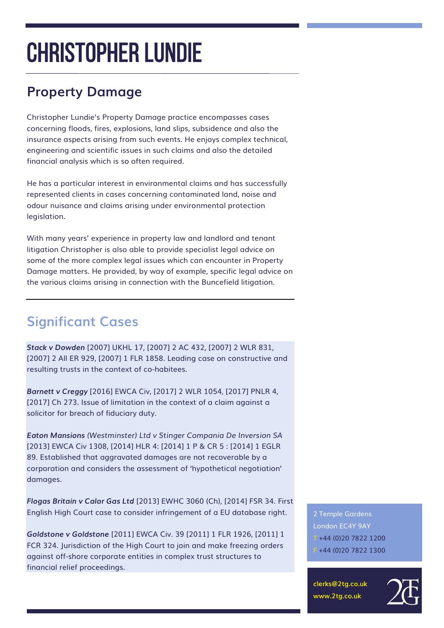## **Property Damage**

Christopher Lundie's Property Damage practice encompasses cases concerning floods, fires, explosions, land slips, subsidence and also the insurance aspects arising from such events. He enjoys complex technical, engineering and scientific issues in such claims and also the detailed financial analysis which is so often required.

He has a particular interest in environmental claims and has successfully represented clients in cases concerning contaminated land, noise and odour nuisance and claims arising under environmental protection legislation.

With many years' experience in property law and landlord and tenant litigation Christopher is also able to provide specialist legal advice on some of the more complex legal issues which can encounter in Property Damage matters. He provided, by way of example, specific legal advice on the various claims arising in connection with the Buncefield litigation.

## **Significant Cases**

*Stack v Dowden* [2007] UKHL 17, [2007] 2 AC 432, [2007] 2 WLR 831, [2007] 2 All ER 929, [2007] 1 FLR 1858. Leading case on constructive and resulting trusts in the context of co-habitees.

*Barnett v Creggy* [2016] EWCA Civ, [2017] 2 WLR 1054, [2017] PNLR 4, [2017] Ch 273. Issue of limitation in the context of a claim against a solicitor for breach of fiduciary duty.

*Eaton Mansions (Westminster) Ltd v Stinger Compania De Inversion SA* [2013] EWCA Civ 1308, [2014] HLR 4: [2014] 1 P & CR 5 : [2014] 1 EGLR 89. Established that aggravated damages are not recoverable by a corporation and considers the assessment of 'hypothetical negotiation' damages.

*Flogas Britain v Calor Gas Ltd* [2013] EWHC 3060 (Ch), [2014] FSR 34. First English High Court case to consider infringement of a EU database right.

*Goldstone v Goldstone* [2011] EWCA Civ. 39 [2011] 1 FLR 1926, [2011] 1 FCR 324. Jurisdiction of the High Court to join and make freezing orders against off-shore corporate entities in complex trust structures to financial relief proceedings.

2 Temple Gardens London EC4Y 9AY  $T + 44 (0)2078221200$ F +44 (0)20 7822 1300

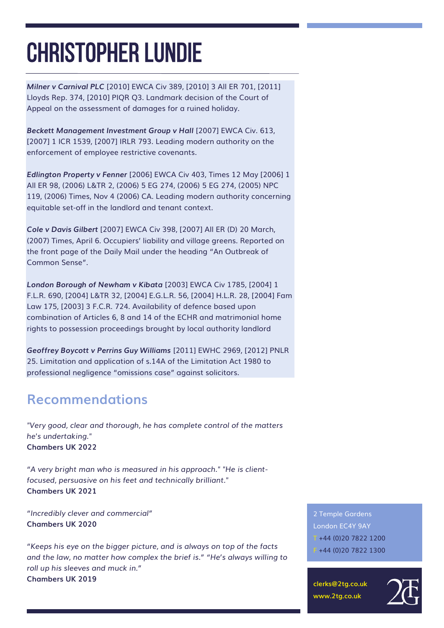*Milner v Carnival PLC* [2010] EWCA Civ 389, [2010] 3 All ER 701, [2011] Lloyds Rep. 374, [2010] PIQR Q3. Landmark decision of the Court of Appeal on the assessment of damages for a ruined holiday.

*Beckett Management Investment Group v Hall* [2007] EWCA Civ. 613, [2007] 1 ICR 1539, [2007] IRLR 793. Leading modern authority on the enforcement of employee restrictive covenants.

*Edlington Property v Fenner* [2006] EWCA Civ 403, Times 12 May [2006] 1 All ER 98, (2006) L&TR 2, (2006) 5 EG 274, (2006) 5 EG 274, (2005) NPC 119, (2006) Times, Nov 4 (2006) CA. Leading modern authority concerning equitable set-off in the landlord and tenant context.

*Cole v Davis Gilbert* [2007] EWCA Civ 398, [2007] All ER (D) 20 March, (2007) Times, April 6. Occupiers' liability and village greens. Reported on the front page of the Daily Mail under the heading "An Outbreak of Common Sense".

*London Borough of Newham v Kibata* [2003] EWCA Civ 1785, [2004] 1 F.L.R. 690, [2004] L&TR 32, [2004] E.G.L.R. 56, [2004] H.L.R. 28, [2004] Fam Law 175, [2003] 3 F.C.R. 724. Availability of defence based upon combination of Articles 6, 8 and 14 of the ECHR and matrimonial home rights to possession proceedings brought by local authority landlord

*Geoffrey Boycott v Perrins Guy Williams* [2011] EWHC 2969, [2012] PNLR 25. Limitation and application of s.14A of the Limitation Act 1980 to professional negligence "omissions case" against solicitors.

#### **Recommendations**

*"Very good, clear and thorough, he has complete control of the matters he's undertaking."* **Chambers UK 2022**

*"A very bright man who is measured in his approach." "He is clientfocused, persuasive on his feet and technically brilliant."* **Chambers UK 2021**

*"Incredibly clever and commercial"* **Chambers UK 2020**

*"Keeps his eye on the bigger picture, and is always on top of the facts and the law, no matter how complex the brief is." "He's always willing to roll up his sleeves and muck in."* **Chambers UK 2019**

2 Temple Gardens London EC4Y 9AY  $T + 44 (0)2078221200$  $F + 44 (0)20 7822 1300$